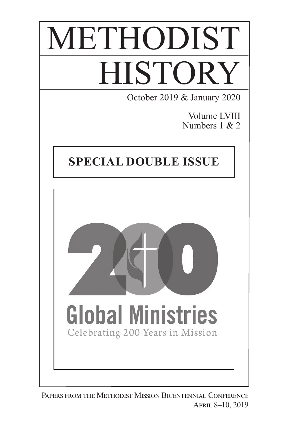# METHODIST **HISTORY** October 2019 & January 2020

Volume LVIII Numbers 1 & 2

### **Special Double Issue**



Papers from the Methodist Mission Bicentennial Conference APRIL 8-10, 2019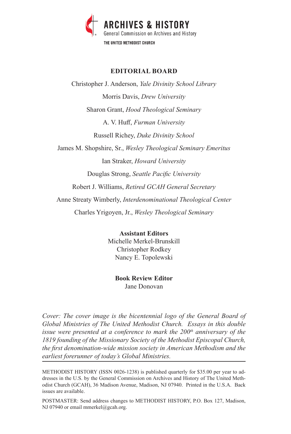

### **EDITORIAL BOARD**

Christopher J. Anderson, *Yale Divinity School Library* Morris Davis, *Drew University* Sharon Grant, *Hood Theological Seminary* A. V. Huff, *Furman University* Russell Richey, *Duke Divinity School* James M. Shopshire, Sr., *Wesley Theological Seminary Emeritus* Ian Straker, *Howard University* Douglas Strong, *Seattle Pacific University* Robert J. Williams, *Retired GCAH General Secretary* Anne Streaty Wimberly, *Interdenominational Theological Center* Charles Yrigoyen, Jr., *Wesley Theological Seminary*

> **Assistant Editors** Michelle Merkel-Brunskill Christopher Rodkey Nancy E. Topolewski

### **Book Review Editor**

Jane Donovan

*Cover: The cover image is the bicentennial logo of the General Board of Global Ministries of The United Methodist Church. Essays in this double issue were presented at a conference to mark the 200<sup>th</sup> anniversary of the 1819 founding of the Missionary Society of the Methodist Episcopal Church, the first denomination-wide mission society in American Methodism and the earliest forerunner of today's Global Ministries.*

METHODIST HISTORY (ISSN 0026-1238) is published quarterly for \$35.00 per year to addresses in the U.S. by the General Commission on Archives and History of The United Methodist Church (GCAH), 36 Madison Avenue, Madison, NJ 07940. Printed in the U.S.A. Back issues are available.

POSTMASTER: Send address changes to METHODIST HISTORY, P.O. Box 127, Madison, NJ 07940 or email mmerkel@gcah.org.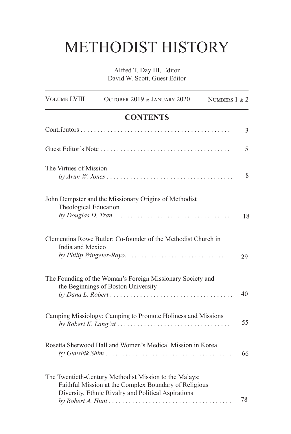## METHODIST HISTORY

Alfred T. Day III, Editor David W. Scott, Guest Editor

| <b>VOLUME LVIII</b>    | OCTOBER 2019 & JANUARY 2020                                                                                                                                            | NUMBERS 1 & 2  |
|------------------------|------------------------------------------------------------------------------------------------------------------------------------------------------------------------|----------------|
|                        | <b>CONTENTS</b>                                                                                                                                                        |                |
|                        |                                                                                                                                                                        | $\mathfrak{Z}$ |
|                        |                                                                                                                                                                        | 5              |
| The Virtues of Mission | $by Arun W. Jones \ldots \ldots \ldots \ldots \ldots \ldots \ldots \ldots \ldots \ldots \ldots \ldots$                                                                 | 8              |
| Theological Education  | John Dempster and the Missionary Origins of Methodist                                                                                                                  | 18             |
| India and Mexico       | Clementina Rowe Butler: Co-founder of the Methodist Church in<br>by Philip Wingeier-Rayo                                                                               | 29             |
|                        | The Founding of the Woman's Foreign Missionary Society and<br>the Beginnings of Boston University                                                                      | 40             |
|                        | Camping Missiology: Camping to Promote Holiness and Missions                                                                                                           | 55             |
|                        | Rosetta Sherwood Hall and Women's Medical Mission in Korea                                                                                                             | 66             |
|                        | The Twentieth-Century Methodist Mission to the Malays:<br>Faithful Mission at the Complex Boundary of Religious<br>Diversity, Ethnic Rivalry and Political Aspirations | 78             |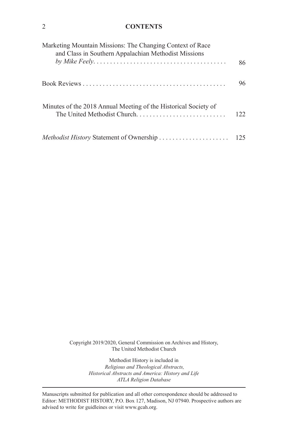### 2 **CONTENTS**

| Marketing Mountain Missions: The Changing Context of Race<br>and Class in Southern Appalachian Methodist Missions |     |
|-------------------------------------------------------------------------------------------------------------------|-----|
|                                                                                                                   | 86  |
|                                                                                                                   | 96  |
| Minutes of the 2018 Annual Meeting of the Historical Society of                                                   | 122 |
|                                                                                                                   |     |

Copyright 2019/2020, General Commission on Archives and History, The United Methodist Church

> Methodist History is included in  *Religious and Theological Abstracts, Historical Abstracts and America: History and Life ATLA Religion Database*

Manuscripts submitted for publication and all other correspondence should be addressed to Editor: METHODIST HISTORY, P.O. Box 127, Madison, NJ 07940. Prospective authors are advised to write for guidleines or visit www.gcah.org.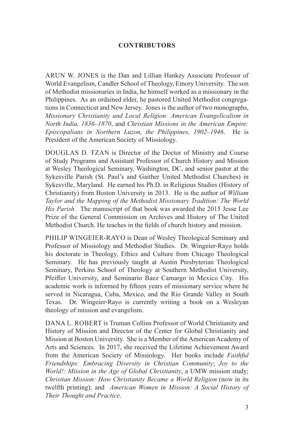### **Contributors**

ARUN W. JONES is the Dan and Lillian Hankey Associate Professor of World Evangelism, Candler School of Theology, Emory University. The son of Methodist missionaries in India, he himself worked as a missionary in the Philippines. As an ordained elder, he pastored United Methodist congregations in Connecticut and New Jersey. Jones is the author of two monographs, *Missionary Christianity and Local Religion: American Evangelicalism in North India, 1836–1870*, and *Christian Missions in the American Empire: Episcopalians in Northern Luzon, the Philippines, 1902–1946*. He is President of the American Society of Missiology.

Douglas D. Tzan is Director of the Doctor of Ministry and Course of Study Programs and Assistant Professor of Church History and Mission at Wesley Theological Seminary, Washington, DC, and senior pastor at the Sykesville Parish (St. Paul's and Gaither United Methodist Churches) in Sykesville, Maryland. He earned his Ph.D. in Religious Studies (History of Christianity) from Boston University in 2013. He is the author of *William Taylor and the Mapping of the Methodist Missionary Tradition: The World His Parish.* The manuscript of that book was awarded the 2015 Jesse Lee Prize of the General Commission on Archives and History of The United Methodist Church. He teaches in the fields of church history and mission.

PHILIP WINGEIER-RAYO is Dean of Wesley Theological Seminary and Professor of Missiology and Methodist Studies. Dr. Wingeier-Rayo holds his doctorate in Theology, Ethics and Culture from Chicago Theological Seminary. He has previously taught at Austin Presbyterian Theological Seminary, Perkins School of Theology at Southern Methodist University, Pfeiffer University, and Seminario Baez Camargo in Mexico City. His academic work is informed by fifteen years of missionary service where he served in Nicaragua, Cuba, Mexico, and the Rio Grande Valley in South Texas. Dr. Wingeier-Rayo is currently writing a book on a Wesleyan theology of mission and evangelism.

DANA L. ROBERT is Truman Collins Professor of World Christianity and History of Mission and Director of the Center for Global Christianity and Mission at Boston University. She is a Member of the American Academy of Arts and Sciences. In 2017, she received the Lifetime Achievement Award from the American Society of Missiology. Her books include *Faithful Friendships: Embracing Diversity in Christian Community*; *Joy to the World!: Mission in the Age of Global Christianity*, a UMW mission study; *Christian Mission: How Christianity Became a World Religion* (now in its twelfth printing); and *American Women in Mission: A Social History of Their Thought and Practice*.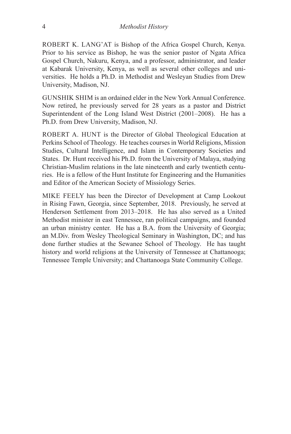ROBERT K. LANG'AT is Bishop of the Africa Gospel Church, Kenya. Prior to his service as Bishop, he was the senior pastor of Ngata Africa Gospel Church, Nakuru, Kenya, and a professor, administrator, and leader at Kabarak University, Kenya, as well as several other colleges and universities. He holds a Ph.D. in Methodist and Wesleyan Studies from Drew University, Madison, NJ.

GUNSHIK SHIM is an ordained elder in the New York Annual Conference. Now retired, he previously served for 28 years as a pastor and District Superintendent of the Long Island West District (2001–2008). He has a Ph.D. from Drew University, Madison, NJ.

ROBERT A. HUNT is the Director of Global Theological Education at Perkins School of Theology. He teaches courses in World Religions, Mission Studies, Cultural Intelligence, and Islam in Contemporary Societies and States. Dr. Hunt received his Ph.D. from the University of Malaya, studying Christian-Muslim relations in the late nineteenth and early twentieth centuries. He is a fellow of the Hunt Institute for Engineering and the Humanities and Editor of the American Society of Missiology Series.

Mike Feely has been the Director of Development at Camp Lookout in Rising Fawn, Georgia, since September, 2018. Previously, he served at Henderson Settlement from 2013–2018. He has also served as a United Methodist minister in east Tennessee, ran political campaigns, and founded an urban ministry center. He has a B.A. from the University of Georgia; an M.Div. from Wesley Theological Seminary in Washington, DC; and has done further studies at the Sewanee School of Theology. He has taught history and world religions at the University of Tennessee at Chattanooga; Tennessee Temple University; and Chattanooga State Community College.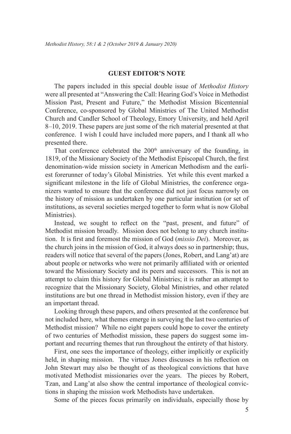#### **GUEST EDITOR'S NOTE**

The papers included in this special double issue of *Methodist History* were all presented at "Answering the Call: Hearing God's Voice in Methodist Mission Past, Present and Future," the Methodist Mission Bicentennial Conference, co-sponsored by Global Ministries of The United Methodist Church and Candler School of Theology, Emory University, and held April 8–10, 2019. These papers are just some of the rich material presented at that conference. I wish I could have included more papers, and I thank all who presented there.

That conference celebrated the 200<sup>th</sup> anniversary of the founding, in 1819, of the Missionary Society of the Methodist Episcopal Church, the first denomination-wide mission society in American Methodism and the earliest forerunner of today's Global Ministries. Yet while this event marked a significant milestone in the life of Global Ministries, the conference organizers wanted to ensure that the conference did not just focus narrowly on the history of mission as undertaken by one particular institution (or set of institutions, as several societies merged together to form what is now Global Ministries).

Instead, we sought to reflect on the "past, present, and future" of Methodist mission broadly. Mission does not belong to any church institution. It is first and foremost the mission of God (*missio Dei*). Moreover, as the church joins in the mission of God, it always does so in partnership; thus, readers will notice that several of the papers (Jones, Robert, and Lang'at) are about people or networks who were not primarily affiliated with or oriented toward the Missionary Society and its peers and successors. This is not an attempt to claim this history for Global Ministries; it is rather an attempt to recognize that the Missionary Society, Global Ministries, and other related institutions are but one thread in Methodist mission history, even if they are an important thread.

Looking through these papers, and others presented at the conference but not included here, what themes emerge in surveying the last two centuries of Methodist mission? While no eight papers could hope to cover the entirety of two centuries of Methodist mission, these papers do suggest some important and recurring themes that run throughout the entirety of that history.

First, one sees the importance of theology, either implicitly or explicitly held, in shaping mission. The virtues Jones discusses in his reflection on John Stewart may also be thought of as theological convictions that have motivated Methodist missionaries over the years. The pieces by Robert, Tzan, and Lang'at also show the central importance of theological convictions in shaping the mission work Methodists have undertaken.

Some of the pieces focus primarily on individuals, especially those by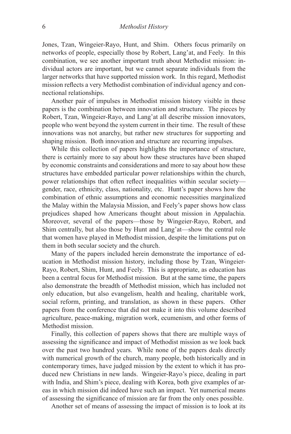Jones, Tzan, Wingeier-Rayo, Hunt, and Shim. Others focus primarily on networks of people, especially those by Robert, Lang'at, and Feely. In this combination, we see another important truth about Methodist mission: individual actors are important, but we cannot separate individuals from the larger networks that have supported mission work. In this regard, Methodist mission reflects a very Methodist combination of individual agency and connectional relationships.

Another pair of impulses in Methodist mission history visible in these papers is the combination between innovation and structure. The pieces by Robert, Tzan, Wingeier-Rayo, and Lang'at all describe mission innovators, people who went beyond the system current in their time. The result of these innovations was not anarchy, but rather new structures for supporting and shaping mission. Both innovation and structure are recurring impulses.

While this collection of papers highlights the importance of structure, there is certainly more to say about how these structures have been shaped by economic constraints and considerations and more to say about how these structures have embedded particular power relationships within the church, power relationships that often reflect inequalities within secular society gender, race, ethnicity, class, nationality, etc. Hunt's paper shows how the combination of ethnic assumptions and economic necessities marginalized the Malay within the Malaysia Mission, and Feely's paper shows how class prejudices shaped how Americans thought about mission in Appalachia. Moreover, several of the papers—those by Wingeier-Rayo, Robert, and Shim centrally, but also those by Hunt and Lang'at—show the central role that women have played in Methodist mission, despite the limitations put on them in both secular society and the church.

Many of the papers included herein demonstrate the importance of education in Methodist mission history, including those by Tzan, Wingeier-Rayo, Robert, Shim, Hunt, and Feely. This is appropriate, as education has been a central focus for Methodist mission. But at the same time, the papers also demonstrate the breadth of Methodist mission, which has included not only education, but also evangelism, health and healing, charitable work, social reform, printing, and translation, as shown in these papers. Other papers from the conference that did not make it into this volume described agriculture, peace-making, migration work, ecumenism, and other forms of Methodist mission.

Finally, this collection of papers shows that there are multiple ways of assessing the significance and impact of Methodist mission as we look back over the past two hundred years. While none of the papers deals directly with numerical growth of the church, many people, both historically and in contemporary times, have judged mission by the extent to which it has produced new Christians in new lands. Wingeier-Rayo's piece, dealing in part with India, and Shim's piece, dealing with Korea, both give examples of areas in which mission did indeed have such an impact. Yet numerical means of assessing the significance of mission are far from the only ones possible.

Another set of means of assessing the impact of mission is to look at its